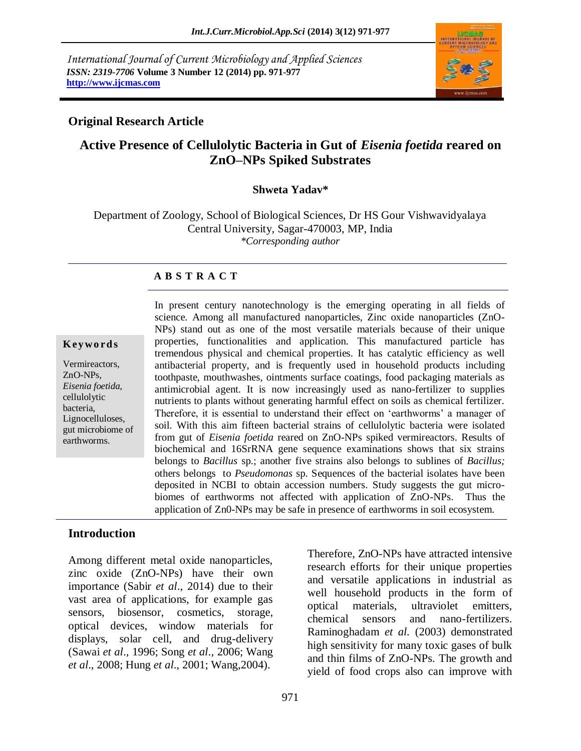*International Journal of Current Microbiology and Applied Sciences ISSN: 2319-7706* **Volume 3 Number 12 (2014) pp. 971-977 http://www.ijcmas.com** 



#### **Original Research Article**

# **Active Presence of Cellulolytic Bacteria in Gut of** *Eisenia foetida* **reared on ZnO–NPs Spiked Substrates**

#### **Shweta Yadav\***

Department of Zoology, School of Biological Sciences, Dr HS Gour Vishwavidyalaya Central University, Sagar-470003, MP, India *\*Corresponding author*

#### **A B S T R A C T**

#### **K ey w o rd s**

Vermireactors, ZnO-NPs, *Eisenia foetida,*  cellulolytic bacteria, Lignocelluloses, gut microbiome of earthworms.

In present century nanotechnology is the emerging operating in all fields of science. Among all manufactured nanoparticles, Zinc oxide nanoparticles (ZnO-NPs) stand out as one of the most versatile materials because of their unique properties, functionalities and application. This manufactured particle has tremendous physical and chemical properties. It has catalytic efficiency as well antibacterial property, and is frequently used in household products including toothpaste, mouthwashes, ointments surface coatings, food packaging materials as antimicrobial agent. It is now increasingly used as nano-fertilizer to supplies nutrients to plants without generating harmful effect on soils as chemical fertilizer. Therefore, it is essential to understand their effect on 'earthworms' a manager of soil. With this aim fifteen bacterial strains of cellulolytic bacteria were isolated from gut of *Eisenia foetida* reared on ZnO-NPs spiked vermireactors. Results of biochemical and 16SrRNA gene sequence examinations shows that six strains belongs to *Bacillus* sp.; another five strains also belongs to sublines of *Bacillus;* others belongs to *Pseudomonas* sp. Sequences of the bacterial isolates have been deposited in NCBI to obtain accession numbers. Study suggests the gut microbiomes of earthworms not affected with application of ZnO-NPs. Thus the application of Zn0-NPs may be safe in presence of earthworms in soil ecosystem.

#### **Introduction**

Among different metal oxide nanoparticles, zinc oxide (ZnO-NPs) have their own importance (Sabir *et al*., 2014) due to their vast area of applications, for example gas sensors, biosensor, cosmetics, storage, optical devices, window materials for displays, solar cell, and drug-delivery (Sawai *et al*., 1996; Song *et al*., 2006; Wang *et al*., 2008; Hung *et al*., 2001; Wang,2004).

Therefore, ZnO-NPs have attracted intensive research efforts for their unique properties and versatile applications in industrial as well household products in the form of optical materials, ultraviolet emitters, chemical sensors and nano-fertilizers. Raminoghadam *et al.* (2003) demonstrated high sensitivity for many toxic gases of bulk and thin films of ZnO-NPs. The growth and yield of food crops also can improve with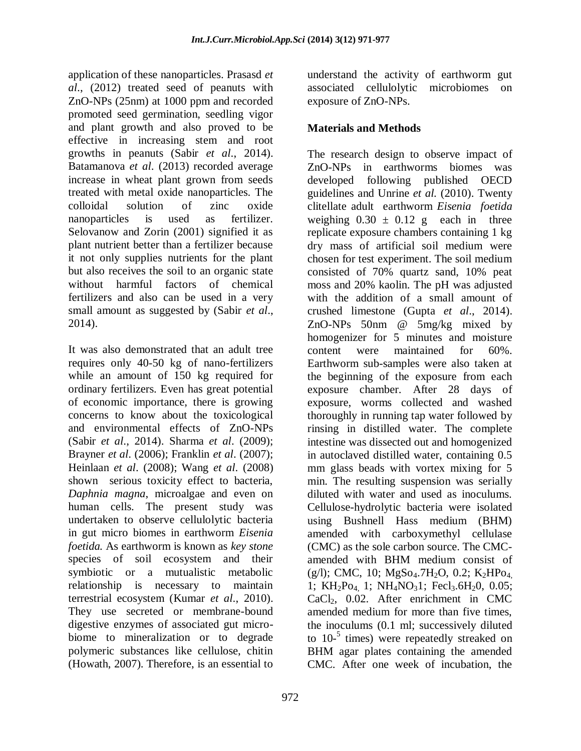application of these nanoparticles. Prasasd *et al*., (2012) treated seed of peanuts with ZnO-NPs (25nm) at 1000 ppm and recorded promoted seed germination, seedling vigor and plant growth and also proved to be effective in increasing stem and root growths in peanuts (Sabir *et al*., 2014). Batamanova *et al*. (2013) recorded average increase in wheat plant grown from seeds treated with metal oxide nanoparticles. The colloidal solution of zinc oxide nanoparticles is used as fertilizer. Selovanow and Zorin (2001) signified it as plant nutrient better than a fertilizer because it not only supplies nutrients for the plant but also receives the soil to an organic state without harmful factors of chemical fertilizers and also can be used in a very small amount as suggested by (Sabir *et al*., 2014).

It was also demonstrated that an adult tree requires only 40-50 kg of nano-fertilizers while an amount of 150 kg required for ordinary fertilizers. Even has great potential of economic importance, there is growing concerns to know about the toxicological and environmental effects of ZnO-NPs (Sabir *et al*., 2014). Sharma *et al*. (2009); Brayner *et al*. (2006); Franklin *et al*. (2007); Heinlaan *et al*. (2008); Wang *et al*. (2008) shown serious toxicity effect to bacteria, *Daphnia magna*, microalgae and even on human cells. The present study was undertaken to observe cellulolytic bacteria in gut micro biomes in earthworm *Eisenia foetida.* As earthworm is known as *key stone* species of soil ecosystem and their symbiotic or a mutualistic metabolic relationship is necessary to maintain terrestrial ecosystem (Kumar *et al*., 2010). They use secreted or membrane-bound digestive enzymes of associated gut microbiome to mineralization or to degrade polymeric substances like cellulose, chitin (Howath, 2007). Therefore, is an essential to

understand the activity of earthworm gut associated cellulolytic microbiomes on exposure of ZnO-NPs.

# **Materials and Methods**

The research design to observe impact of ZnO-NPs in earthworms biomes was developed following published OECD guidelines and Unrine *et al.* (2010). Twenty clitellate adult earthworm *Eisenia foetida* weighing  $0.30 \pm 0.12$  g each in three replicate exposure chambers containing 1 kg dry mass of artificial soil medium were chosen for test experiment. The soil medium consisted of 70% quartz sand, 10% peat moss and 20% kaolin. The pH was adjusted with the addition of a small amount of crushed limestone (Gupta *et al*., 2014). ZnO-NPs 50nm @ 5mg/kg mixed by homogenizer for 5 minutes and moisture content were maintained for 60%. Earthworm sub-samples were also taken at the beginning of the exposure from each exposure chamber. After 28 days of exposure, worms collected and washed thoroughly in running tap water followed by rinsing in distilled water. The complete intestine was dissected out and homogenized in autoclaved distilled water, containing 0.5 mm glass beads with vortex mixing for 5 min. The resulting suspension was serially diluted with water and used as inoculums. Cellulose-hydrolytic bacteria were isolated using Bushnell Hass medium (BHM) amended with carboxymethyl cellulase (CMC) as the sole carbon source. The CMCamended with BHM medium consist of  $(g/l)$ ; CMC, 10; MgSo<sub>4</sub>.7H<sub>2</sub>O, 0.2; K<sub>2</sub>HPo<sub>4</sub> 1; KH<sub>2</sub>P<sub>O4</sub> 1; NH<sub>4</sub>NO<sub>3</sub>1; Fecl<sub>3</sub>.6H<sub>2</sub>0, 0.05;  $CaCl<sub>2</sub>$ , 0.02. After enrichment in CMC amended medium for more than five times, the inoculums (0.1 ml; successively diluted to 10- 5 times) were repeatedly streaked on BHM agar plates containing the amended CMC. After one week of incubation, the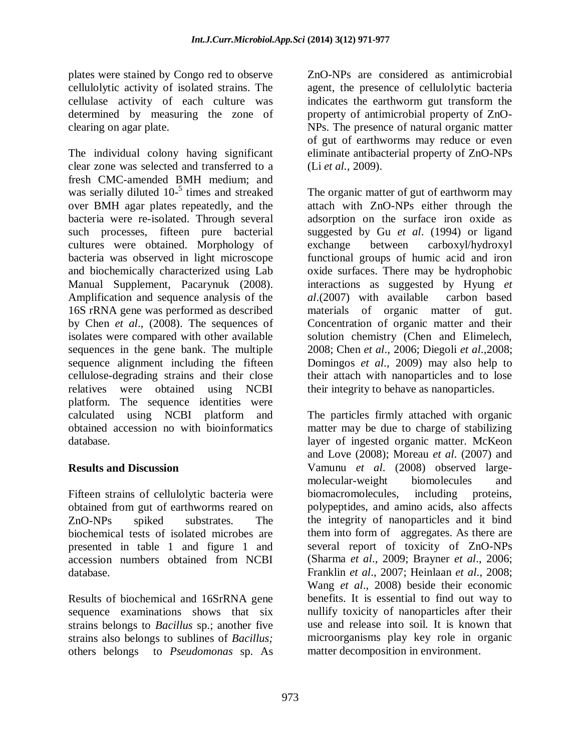plates were stained by Congo red to observe cellulolytic activity of isolated strains. The cellulase activity of each culture was determined by measuring the zone of clearing on agar plate.

The individual colony having significant clear zone was selected and transferred to a fresh CMC-amended BMH medium; and was serially diluted 10<sup>-5</sup> times and streaked over BMH agar plates repeatedly, and the bacteria were re-isolated. Through several such processes, fifteen pure bacterial cultures were obtained. Morphology of bacteria was observed in light microscope and biochemically characterized using Lab Manual Supplement, Pacarynuk (2008). Amplification and sequence analysis of the 16S rRNA gene was performed as described by Chen *et al*., (2008). The sequences of isolates were compared with other available sequences in the gene bank. The multiple sequence alignment including the fifteen cellulose-degrading strains and their close relatives were obtained using NCBI platform. The sequence identities were calculated using NCBI platform and obtained accession no with bioinformatics database.

## **Results and Discussion**

Fifteen strains of cellulolytic bacteria were obtained from gut of earthworms reared on ZnO-NPs spiked substrates. The biochemical tests of isolated microbes are presented in table 1 and figure 1 and accession numbers obtained from NCBI database.

Results of biochemical and 16SrRNA gene sequence examinations shows that six strains belongs to *Bacillus* sp.; another five strains also belongs to sublines of *Bacillus;* others belongs to *Pseudomonas* sp. As ZnO-NPs are considered as antimicrobial agent, the presence of cellulolytic bacteria indicates the earthworm gut transform the property of antimicrobial property of ZnO-NPs. The presence of natural organic matter of gut of earthworms may reduce or even eliminate antibacterial property of ZnO-NPs (Li *et al.,* 2009).

The organic matter of gut of earthworm may attach with ZnO-NPs either through the adsorption on the surface iron oxide as suggested by Gu *et al*. (1994) or ligand exchange between carboxyl/hydroxyl functional groups of humic acid and iron oxide surfaces. There may be hydrophobic interactions as suggested by Hyung *et al*.(2007) with available carbon based materials of organic matter of gut. Concentration of organic matter and their solution chemistry (Chen and Elimelech, 2008; Chen *et al*., 2006; Diegoli *et al*.,2008; Domingos *et al*., 2009) may also help to their attach with nanoparticles and to lose their integrity to behave as nanoparticles.

The particles firmly attached with organic matter may be due to charge of stabilizing layer of ingested organic matter. McKeon and Love (2008); Moreau *et al*. (2007) and Vamunu *et al*. (2008) observed largemolecular-weight biomolecules and biomacromolecules, including proteins, polypeptides, and amino acids, also affects the integrity of nanoparticles and it bind them into form of aggregates. As there are several report of toxicity of ZnO-NPs (Sharma *et al*., 2009; Brayner *et al*., 2006; Franklin *et al*., 2007; Heinlaan *et al*., 2008; Wang *et al*., 2008) beside their economic benefits. It is essential to find out way to nullify toxicity of nanoparticles after their use and release into soil. It is known that microorganisms play key role in organic matter decomposition in environment.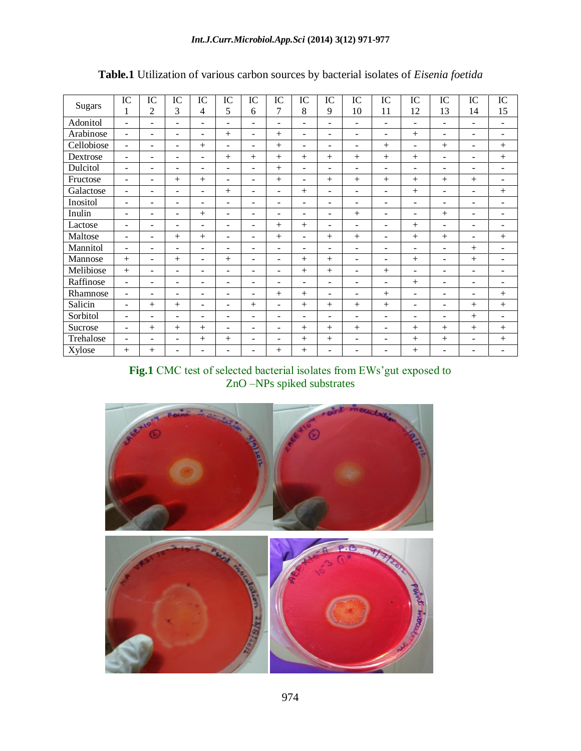| <b>Sugars</b> | IC                       | IC                       | IC                       | IC                       | IC                       | IC                       | IC                           | IC                       | IC                       | IC                           | IC                           | IC                       | IC                       | IC                       | IC                       |
|---------------|--------------------------|--------------------------|--------------------------|--------------------------|--------------------------|--------------------------|------------------------------|--------------------------|--------------------------|------------------------------|------------------------------|--------------------------|--------------------------|--------------------------|--------------------------|
|               | 1                        | $\overline{2}$           | 3                        | $\overline{4}$           | 5                        | 6                        | 7                            | 8                        | 9                        | 10                           | 11                           | 12                       | 13                       | 14                       | 15                       |
| Adonitol      | $\overline{\phantom{a}}$ | -                        | $\overline{\phantom{a}}$ | ۰                        | ٠                        | ٠                        | $\overline{\phantom{a}}$     | $\qquad \qquad -$        | $\overline{\phantom{0}}$ | $\qquad \qquad \blacksquare$ | ۰                            | -                        | $\qquad \qquad -$        | $\overline{\phantom{a}}$ | $\overline{\phantom{a}}$ |
| Arabinose     | $\overline{\phantom{a}}$ | $\overline{\phantom{a}}$ | $\overline{\phantom{a}}$ | ۰                        | $^{+}$                   | ٠                        | $+$                          | $\overline{\phantom{a}}$ | ۰                        | ۰                            | ۰                            | $+$                      | $\overline{\phantom{0}}$ | $\blacksquare$           | $\overline{\phantom{a}}$ |
| Cellobiose    | $\overline{\phantom{a}}$ | ٠                        | $\equiv$                 | $^{+}$                   | $\overline{\phantom{a}}$ | $\overline{\phantom{a}}$ | $+$                          | $\overline{\phantom{a}}$ | ۰                        | $\overline{\phantom{0}}$     | $+$                          | ۰                        | $+$                      | $\blacksquare$           | $+$                      |
| Dextrose      | $\blacksquare$           | ۰                        | $\overline{\phantom{m}}$ | $\blacksquare$           | $^{+}$                   | $^{+}$                   | $+$                          | $^{+}$                   | $^{+}$                   | $+$                          | $+$                          | $+$                      | ٠                        | $\overline{\phantom{a}}$ | $^{+}$                   |
| Dulcitol      | $\overline{\phantom{a}}$ | ٠                        | $\overline{\phantom{a}}$ | ۳                        | $\overline{\phantom{a}}$ | ٠                        | $+$                          | $\overline{\phantom{a}}$ | ۰                        | $\overline{\phantom{a}}$     | $\qquad \qquad \blacksquare$ | ۰                        | $\overline{\phantom{0}}$ | $\overline{\phantom{0}}$ | $\qquad \qquad -$        |
| Fructose      | $\overline{\phantom{a}}$ | $\overline{\phantom{a}}$ | $^{+}$                   | $^{+}$                   | $\overline{\phantom{a}}$ | $\overline{\phantom{a}}$ | $+$                          | $\overline{\phantom{a}}$ | $^{+}$                   | $+$                          | $^{+}$                       | $+$                      | $+$                      | $^{+}$                   | $\overline{\phantom{0}}$ |
| Galactose     | $\overline{\phantom{a}}$ | -                        | $\overline{\phantom{a}}$ | ۰                        | $^{+}$                   | ٠                        | $\qquad \qquad \blacksquare$ | $^{+}$                   | ۰                        | ۰                            | $\overline{\phantom{0}}$     | $+$                      | $\overline{\phantom{0}}$ | $\blacksquare$           | $^{+}$                   |
| Inositol      | $\blacksquare$           | ۰                        | $\equiv$                 | $\equiv$                 | $\equiv$                 | $\overline{\phantom{a}}$ | $\blacksquare$               | $\overline{\phantom{a}}$ | ۰                        | $\overline{\phantom{0}}$     | $\overline{\phantom{0}}$     | ۰                        | $\overline{\phantom{a}}$ | $\blacksquare$           | $\overline{\phantom{m}}$ |
| Inulin        | $\blacksquare$           | $\equiv$                 | $\overline{\phantom{a}}$ | $+$                      | $\equiv$                 | $\blacksquare$           | $\blacksquare$               | $\sim$                   | ۰                        | $+$                          | $\blacksquare$               | $\blacksquare$           | $+$                      | $\blacksquare$           | $\blacksquare$           |
| Lactose       | $\overline{\phantom{a}}$ | -                        | $\overline{\phantom{a}}$ | $\blacksquare$           | $\overline{\phantom{a}}$ | $\blacksquare$           | $+$                          | $^{+}$                   | $\overline{\phantom{0}}$ | $\overline{\phantom{a}}$     | $\blacksquare$               | $^{+}$                   | $\overline{\phantom{0}}$ | $\overline{\phantom{0}}$ | $\qquad \qquad -$        |
| Maltose       | $\overline{\phantom{a}}$ | ٠                        | $^{+}$                   | $^{+}$                   | ٠                        | $\blacksquare$           | $+$                          | $\overline{\phantom{a}}$ | $+$                      | $+$                          | $\blacksquare$               | $^{+}$                   | $+$                      | $\overline{\phantom{a}}$ | $^{+}$                   |
| Mannitol      | $\overline{\phantom{a}}$ | $\overline{\phantom{m}}$ | $\overline{\phantom{a}}$ | ۰                        | $\overline{\phantom{a}}$ | ÷.                       | $\overline{\phantom{a}}$     | $\blacksquare$           | $\overline{\phantom{0}}$ | $\frac{1}{2}$                | $\frac{1}{2}$                | -                        | $\qquad \qquad -$        | $+$                      | ٠                        |
| Mannose       | $+$                      | $\overline{\phantom{a}}$ | $^{+}$                   | ۰                        | $^{+}$                   | $\overline{\phantom{a}}$ | $\blacksquare$               | $^{+}$                   | $^{+}$                   | $\overline{\phantom{0}}$     | $\overline{\phantom{0}}$     | $+$                      | $\blacksquare$           | $+$                      | $\overline{\phantom{a}}$ |
| Melibiose     | $+$                      | $\overline{\phantom{a}}$ | $\overline{\phantom{m}}$ | $\overline{\phantom{a}}$ | $\overline{\phantom{m}}$ | $\overline{\phantom{m}}$ | $\qquad \qquad \blacksquare$ | $^{+}$                   | $^{+}$                   | $\qquad \qquad \blacksquare$ | $+$                          | -                        | ٠                        | $\overline{\phantom{a}}$ | $\qquad \qquad -$        |
| Raffinose     | $\overline{\phantom{a}}$ | $\overline{\phantom{a}}$ | $\overline{\phantom{a}}$ | $\overline{\phantom{a}}$ | $\overline{\phantom{m}}$ | $\overline{\phantom{a}}$ | $\qquad \qquad \blacksquare$ | $\blacksquare$           | ۰                        | $\qquad \qquad \blacksquare$ | $\blacksquare$               | $^{+}$                   | $\overline{\phantom{a}}$ | $\qquad \qquad -$        | $\qquad \qquad -$        |
| Rhamnose      | $\blacksquare$           | ٠                        | $\overline{\phantom{0}}$ | ÷                        | ٠                        | ÷.                       | $+$                          | $^{+}$                   | ۰                        | ۰                            | $^{+}$                       | ۰                        | $\overline{\phantom{a}}$ | $\overline{\phantom{a}}$ | $+$                      |
| Salicin       | $\blacksquare$           | $+$                      | $^{+}$                   | $\equiv$                 | $\equiv$                 | $^{+}$                   | $\blacksquare$               | $^{+}$                   | $^{+}$                   | $+$                          | $^{+}$                       | $\overline{\phantom{0}}$ | $\overline{\phantom{a}}$ | $^{+}$                   | $^{+}$                   |
| Sorbitol      | $\qquad \qquad -$        |                          | $\overline{\phantom{m}}$ | ۳                        | ٠                        | ٠                        | $\overline{\phantom{a}}$     | $\overline{\phantom{a}}$ |                          | $\blacksquare$               | $\qquad \qquad \blacksquare$ | $\blacksquare$           | $\overline{\phantom{a}}$ | $^{+}$                   | $\qquad \qquad -$        |
| Sucrose       | $\overline{\phantom{a}}$ | $^{+}$                   | $^{+}$                   | $^{+}$                   | $\overline{\phantom{a}}$ | $\overline{\phantom{a}}$ | $\qquad \qquad \blacksquare$ | $^{+}$                   | $^{+}$                   | $^{+}$                       | $\qquad \qquad \blacksquare$ | $+$                      | $+$                      | $+$                      | $^+$                     |
| Trehalose     | ۰                        | -                        | $\overline{\phantom{a}}$ | $^{+}$                   | $^{+}$                   | ٠                        | $\qquad \qquad \blacksquare$ | $^{+}$                   | $+$                      | $\frac{1}{2}$                | $\qquad \qquad \blacksquare$ | $^{+}$                   | $+$                      | $\overline{\phantom{0}}$ | $^{+}$                   |
| Xylose        | $^{+}$                   | $^{+}$                   | $\overline{\phantom{0}}$ | ٠                        | -                        | ٠                        | $^{+}$                       | $^{+}$                   | Ξ.                       | $\qquad \qquad \blacksquare$ | $\qquad \qquad \blacksquare$ | $^{+}$                   | ٠                        | ٠                        | $\overline{\phantom{a}}$ |

# **Table.1** Utilization of various carbon sources by bacterial isolates of *Eisenia foetida*

**Fig.1** CMC test of selected bacterial isolates from EWs'gut exposed to ZnO –NPs spiked substrates

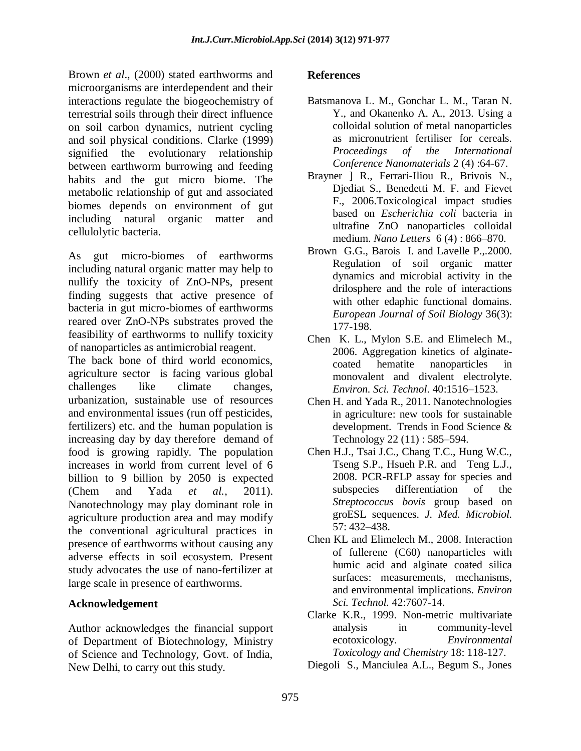Brown *et al*., (2000) stated earthworms and microorganisms are interdependent and their interactions regulate the biogeochemistry of terrestrial soils through their direct influence on soil carbon dynamics, nutrient cycling and soil physical conditions. Clarke (1999) signified the evolutionary relationship between earthworm burrowing and feeding habits and the gut micro biome. The metabolic relationship of gut and associated biomes depends on environment of gut including natural organic matter and cellulolytic bacteria.

As gut micro-biomes of earthworms including natural organic matter may help to nullify the toxicity of ZnO-NPs, present finding suggests that active presence of bacteria in gut micro-biomes of earthworms reared over ZnO-NPs substrates proved the feasibility of earthworms to nullify toxicity of nanoparticles as antimicrobial reagent.

The back bone of third world economics, agriculture sector is facing various global challenges like climate changes, urbanization, sustainable use of resources and environmental issues (run off pesticides, fertilizers) etc. and the human population is increasing day by day therefore demand of food is growing rapidly. The population increases in world from current level of 6 billion to 9 billion by 2050 is expected (Chem and Yada *et al.,* 2011). Nanotechnology may play dominant role in agriculture production area and may modify the conventional agricultural practices in presence of earthworms without causing any adverse effects in soil ecosystem. Present study advocates the use of nano-fertilizer at large scale in presence of earthworms.

## **Acknowledgement**

Author acknowledges the financial support of Department of Biotechnology, Ministry of Science and Technology, Govt. of India, New Delhi, to carry out this study.

### **References**

- Batsmanova L. M., Gonchar L. M., Taran N. Y., and Okanenko A. A., 2013. Using a colloidal solution of metal nanoparticles as micronutrient fertiliser for cereals. *Proceedings of the International Conference Nanomaterials* 2 (4) :64-67.
- Brayner ] R., Ferrari-Iliou R., Brivois N., Djediat S., Benedetti M. F. and Fievet F., 2006.Toxicological impact studies based on *Escherichia coli* bacteria in ultrafine ZnO nanoparticles colloidal medium. *Nano Letters* 6 (4) : 866–870.
- Brown G.G., Barois I. and Lavelle P.,.2000. Regulation of soil organic matter dynamics and microbial activity in the drilosphere and the role of interactions with other edaphic functional domains. *European Journal of Soil Biology* 36(3): 177-198.
- Chen K. L., Mylon S.E. and Elimelech M., 2006. Aggregation kinetics of alginatecoated hematite nanoparticles in monovalent and divalent electrolyte. *Environ. Sci. Technol*. 40:1516–1523.
- Chen H. and Yada R., 2011. Nanotechnologies in agriculture: new tools for sustainable development. Trends in Food Science & Technology 22 (11) : 585–594.
- Chen H.J., Tsai J.C., Chang T.C., Hung W.C., Tseng S.P., Hsueh P.R. and Teng L.J., 2008. PCR-RFLP assay for species and subspecies differentiation of the *Streptococcus bovis* group based on groESL sequences. *J. Med. Microbiol.* 57: 432–438.
- Chen KL and Elimelech M., 2008. Interaction of fullerene (C60) nanoparticles with humic acid and alginate coated silica surfaces: measurements, mechanisms, and environmental implications. *Environ Sci. Technol.* 42:7607-14.
- Clarke K.R., 1999. Non-metric multivariate analysis in community-level ecotoxicology. *Environmental Toxicology and Chemistry* 18: 118-127.
- Diegoli S., Manciulea A.L., Begum S., Jones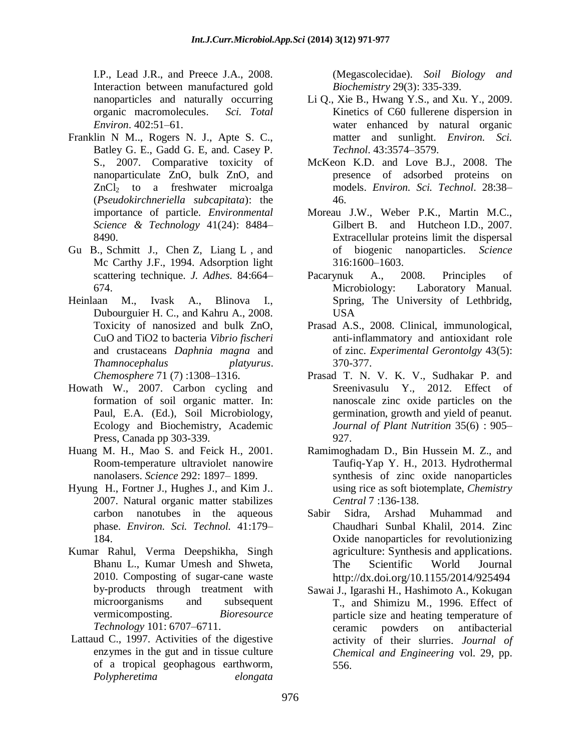I.P., Lead J.R., and Preece J.A., 2008. Interaction between manufactured gold nanoparticles and naturally occurring organic macromolecules. *Sci. Total Environ*. 402:51–61.

- Franklin N M.., Rogers N. J., Apte S. C., Batley G. E., Gadd G. E, and. Casey P. S., 2007. Comparative toxicity of nanoparticulate ZnO, bulk ZnO, and ZnCl<sub>2</sub> to a freshwater microalga (*Pseudokirchneriella subcapitata*): the importance of particle. *Environmental Science & Technology* 41(24): 8484– 8490.
- Gu B., Schmitt J., Chen Z, Liang L , and Mc Carthy J.F., 1994. Adsorption light scattering technique. *J. Adhes.* 84:664– 674.
- Heinlaan M., Ivask A., Blinova I., Dubourguier H. C., and Kahru A., 2008. Toxicity of nanosized and bulk ZnO, CuO and TiO2 to bacteria *Vibrio fischeri* and crustaceans *Daphnia magna* and *Thamnocephalus platyurus*. *Chemosphere* 71 (7) :1308–1316.
- Howath W., 2007. Carbon cycling and formation of soil organic matter. In: Paul, E.A. (Ed.), Soil Microbiology, Ecology and Biochemistry, Academic Press, Canada pp 303-339.
- Huang M. H., Mao S. and Feick H., 2001. Room-temperature ultraviolet nanowire nanolasers. *Science* 292: 1897– 1899.
- Hyung H., Fortner J., Hughes J., and Kim J.. 2007. Natural organic matter stabilizes carbon nanotubes in the aqueous phase. *Environ. Sci. Technol.* 41:179– 184.
- Kumar Rahul, Verma Deepshikha, Singh Bhanu L., Kumar Umesh and Shweta, 2010. Composting of sugar-cane waste by-products through treatment with microorganisms and subsequent vermicomposting. *Bioresource Technology* 101: 6707–6711.
- Lattaud C., 1997. Activities of the digestive enzymes in the gut and in tissue culture of a tropical geophagous earthworm, *Polypheretima elongata*

(Megascolecidae). *Soil Biology and Biochemistry* 29(3): 335-339.

- Li Q., Xie B., Hwang Y.S., and Xu. Y., 2009. Kinetics of C60 fullerene dispersion in water enhanced by natural organic matter and sunlight. *Environ. Sci. Technol*. 43:3574–3579.
- McKeon K.D. and Love B.J., 2008. The presence of adsorbed proteins on models. *Environ. Sci. Technol*. 28:38– 46.
- Moreau J.W., Weber P.K., Martin M.C., Gilbert B. and Hutcheon I.D., 2007. Extracellular proteins limit the dispersal of biogenic nanoparticles. *Science* 316:1600–1603.
- Pacarynuk A., 2008. Principles of Microbiology: Laboratory Manual. Spring, The University of Lethbridg, USA
- Prasad A.S., 2008. Clinical, immunological, anti-inflammatory and antioxidant role of zinc. *Experimental Gerontolgy* 43(5): 370-377.
- Prasad T. N. V. K. V., Sudhakar P. and Sreenivasulu Y., 2012. Effect of nanoscale zinc oxide particles on the germination, growth and yield of peanut*. Journal of Plant Nutrition* 35(6) : 905– 927.
- Ramimoghadam D., Bin Hussein M. Z., and Taufiq-Yap Y. H., 2013. Hydrothermal synthesis of zinc oxide nanoparticles using rice as soft biotemplate, *Chemistry Central* 7 :136-138.
- Sabir Sidra, Arshad Muhammad and Chaudhari Sunbal Khalil, 2014. Zinc Oxide nanoparticles for revolutionizing agriculture: Synthesis and applications. The Scientific World Journal <http://dx.doi.org/10.1155/2014/925494>
- Sawai J., Igarashi H., Hashimoto A., Kokugan T., and Shimizu M., 1996. Effect of particle size and heating temperature of ceramic powders on antibacterial activity of their slurries. *Journal of Chemical and Engineering* vol. 29, pp. 556.